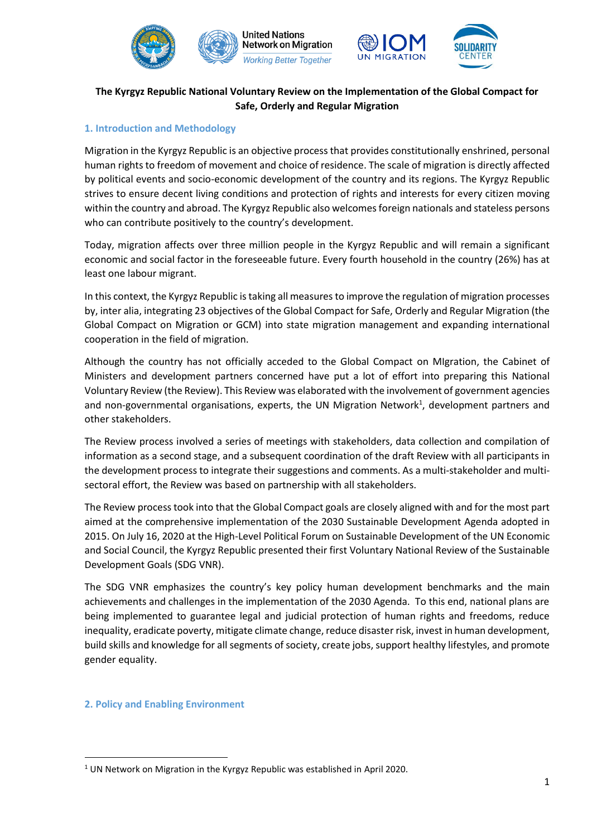





# **The Kyrgyz Republic National Voluntary Review on the Implementation of the Global Compact for Safe, Orderly and Regular Migration**

## **1. Introduction and Methodology**

Migration in the Kyrgyz Republic is an objective process that provides constitutionally enshrined, personal human rights to freedom of movement and choice of residence. The scale of migration is directly affected by political events and socio-economic development of the country and its regions. The Kyrgyz Republic strives to ensure decent living conditions and protection of rights and interests for every citizen moving within the country and abroad. The Kyrgyz Republic also welcomes foreign nationals and stateless persons who can contribute positively to the country's development.

Today, migration affects over three million people in the Kyrgyz Republic and will remain a significant economic and social factor in the foreseeable future. Every fourth household in the country (26%) has at least one labour migrant.

In this context, the Kyrgyz Republic is taking all measures to improve the regulation of migration processes by, inter alia, integrating 23 objectives of the Global Compact for Safe, Orderly and Regular Migration (the Global Compact on Migration or GCM) into state migration management and expanding international cooperation in the field of migration.

Although the country has not officially acceded to the Global Compact on MIgration, the Cabinet of Ministers and development partners concerned have put a lot of effort into preparing this National Voluntary Review (the Review). This Review was elaborated with the involvement of government agencies and non-governmental organisations, experts, the UN Migration Network<sup>1</sup>, development partners and other stakeholders.

The Review process involved a series of meetings with stakeholders, data collection and compilation of information as a second stage, and a subsequent coordination of the draft Review with all participants in the development process to integrate their suggestions and comments. As a multi-stakeholder and multisectoral effort, the Review was based on partnership with all stakeholders.

The Review process took into that the Global Compact goals are closely aligned with and for the most part aimed at the comprehensive implementation of the 2030 Sustainable Development Agenda adopted in 2015. On July 16, 2020 at the High-Level Political Forum on Sustainable Development of the UN Economic and Social Council, the Kyrgyz Republic presented their first Voluntary National Review of the Sustainable Development Goals (SDG VNR).

The SDG VNR emphasizes the country's key policy human development benchmarks and the main achievements and challenges in the implementation of the 2030 Agenda. To this end, national plans are being implemented to guarantee legal and judicial protection of human rights and freedoms, reduce inequality, eradicate poverty, mitigate climate change, reduce disaster risk, invest in human development, build skills and knowledge for all segments of society, create jobs, support healthy lifestyles, and promote gender equality.

## **2. Policy and Enabling Environment**

<sup>1</sup> UN Network on Migration in the Kyrgyz Republic was established in April 2020.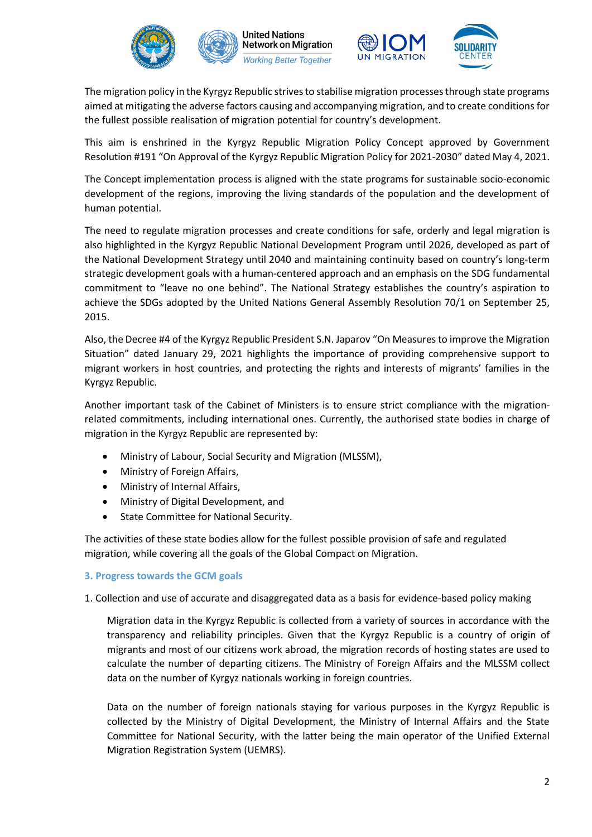





The migration policy in the Kyrgyz Republic strives to stabilise migration processes through state programs aimed at mitigating the adverse factors causing and accompanying migration, and to create conditions for the fullest possible realisation of migration potential for country's development.

This aim is enshrined in the Kyrgyz Republic Migration Policy Concept approved by Government Resolution #191 "On Approval of the Kyrgyz Republic Migration Policy for 2021-2030" dated May 4, 2021.

The Concept implementation process is aligned with the state programs for sustainable socio-economic development of the regions, improving the living standards of the population and the development of human potential.

The need to regulate migration processes and create conditions for safe, orderly and legal migration is also highlighted in the Kyrgyz Republic National Development Program until 2026, developed as part of the National Development Strategy until 2040 and maintaining continuity based on country's long-term strategic development goals with a human-centered approach and an emphasis on the SDG fundamental commitment to "leave no one behind". The National Strategy establishes the country's aspiration to achieve the SDGs adopted by the United Nations General Assembly Resolution 70/1 on September 25, 2015.

Also, the Decree #4 of the Kyrgyz Republic President S.N. Japarov "On Measures to improve the Migration Situation" dated January 29, 2021 highlights the importance of providing comprehensive support to migrant workers in host countries, and protecting the rights and interests of migrants' families in the Kyrgyz Republic.

Another important task of the Cabinet of Ministers is to ensure strict compliance with the migrationrelated commitments, including international ones. Currently, the authorised state bodies in charge of migration in the Kyrgyz Republic are represented by:

- Ministry of Labour, Social Security and Migration (MLSSM),
- Ministry of Foreign Affairs,
- Ministry of Internal Affairs,
- Ministry of Digital Development, and
- State Committee for National Security.

The activities of these state bodies allow for the fullest possible provision of safe and regulated migration, while covering all the goals of the Global Compact on Migration.

## **3. Progress towards the GCM goals**

1. Collection and use of accurate and disaggregated data as a basis for evidence-based policy making

Migration data in the Kyrgyz Republic is collected from a variety of sources in accordance with the transparency and reliability principles. Given that the Kyrgyz Republic is a country of origin of migrants and most of our citizens work abroad, the migration records of hosting states are used to calculate the number of departing citizens. The Ministry of Foreign Affairs and the MLSSM collect data on the number of Kyrgyz nationals working in foreign countries.

Data on the number of foreign nationals staying for various purposes in the Kyrgyz Republic is collected by the Ministry of Digital Development, the Ministry of Internal Affairs and the State Committee for National Security, with the latter being the main operator of the Unified External Migration Registration System (UEMRS).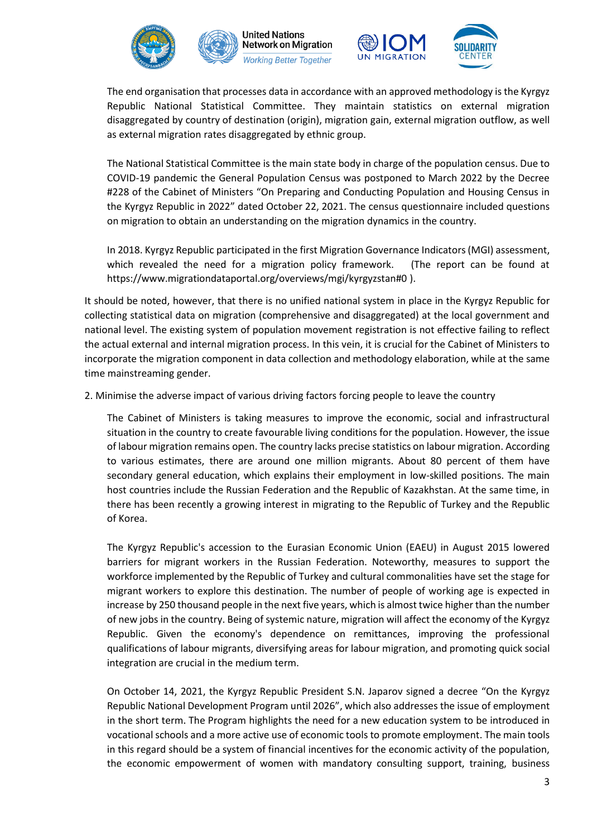





The end organisation that processes data in accordance with an approved methodology is the Kyrgyz Republic National Statistical Committee. They maintain statistics on external migration disaggregated by country of destination (origin), migration gain, external migration outflow, as well as external migration rates disaggregated by ethnic group.

The National Statistical Committee is the main state body in charge of the population census. Due to COVID-19 pandemic the General Population Census was postponed to March 2022 by the Decree #228 of the Cabinet of Ministers "On Preparing and Conducting Population and Housing Census in the Kyrgyz Republic in 2022" dated October 22, 2021. The census questionnaire included questions on migration to obtain an understanding on the migration dynamics in the country.

In 2018. Kyrgyz Republic participated in the first Migration Governance Indicators (MGI) assessment, which revealed the need for a migration policy framework. (The report can be found at https://www.migrationdataportal.org/overviews/mgi/kyrgyzstan#0 ).

It should be noted, however, that there is no unified national system in place in the Kyrgyz Republic for collecting statistical data on migration (comprehensive and disaggregated) at the local government and national level. The existing system of population movement registration is not effective failing to reflect the actual external and internal migration process. In this vein, it is crucial for the Cabinet of Ministers to incorporate the migration component in data collection and methodology elaboration, while at the same time mainstreaming gender.

2. Minimise the adverse impact of various driving factors forcing people to leave the country

The Cabinet of Ministers is taking measures to improve the economic, social and infrastructural situation in the country to create favourable living conditions for the population. However, the issue of labour migration remains open. The country lacks precise statistics on labour migration. According to various estimates, there are around one million migrants. About 80 percent of them have secondary general education, which explains their employment in low-skilled positions. The main host countries include the Russian Federation and the Republic of Kazakhstan. At the same time, in there has been recently a growing interest in migrating to the Republic of Turkey and the Republic of Korea.

The Kyrgyz Republic's accession to the Eurasian Economic Union (EAEU) in August 2015 lowered barriers for migrant workers in the Russian Federation. Noteworthy, measures to support the workforce implemented by the Republic of Turkey and cultural commonalities have set the stage for migrant workers to explore this destination. The number of people of working age is expected in increase by 250 thousand people in the next five years, which is almost twice higher than the number of new jobs in the country. Being of systemic nature, migration will affect the economy of the Kyrgyz Republic. Given the economy's dependence on remittances, improving the professional qualifications of labour migrants, diversifying areas for labour migration, and promoting quick social integration are crucial in the medium term.

On October 14, 2021, the Kyrgyz Republic President S.N. Japarov signed a decree "On the Kyrgyz Republic National Development Program until 2026", which also addresses the issue of employment in the short term. The Program highlights the need for a new education system to be introduced in vocational schools and a more active use of economic tools to promote employment. The main tools in this regard should be a system of financial incentives for the economic activity of the population, the economic empowerment of women with mandatory consulting support, training, business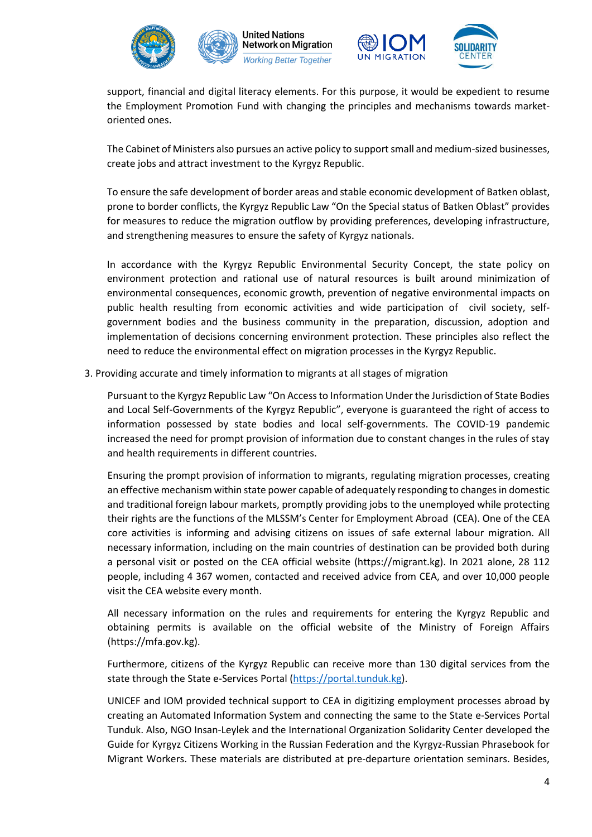





support, financial and digital literacy elements. For this purpose, it would be expedient to resume the Employment Promotion Fund with changing the principles and mechanisms towards marketoriented ones.

The Cabinet of Ministers also pursues an active policy to support small and medium-sized businesses, create jobs and attract investment to the Kyrgyz Republic.

To ensure the safe development of border areas and stable economic development of Batken oblast, prone to border conflicts, the Kyrgyz Republic Law "On the Special status of Batken Oblast" provides for measures to reduce the migration outflow by providing preferences, developing infrastructure, and strengthening measures to ensure the safety of Kyrgyz nationals.

In accordance with the Kyrgyz Republic Environmental Security Concept, the state policy on environment protection and rational use of natural resources is built around minimization of environmental consequences, economic growth, prevention of negative environmental impacts on public health resulting from economic activities and wide participation of civil society, selfgovernment bodies and the business community in the preparation, discussion, adoption and implementation of decisions concerning environment protection. These principles also reflect the need to reduce the environmental effect on migration processes in the Kyrgyz Republic.

3. Providing accurate and timely information to migrants at all stages of migration

Pursuant to the Kyrgyz Republic Law "On Access to Information Under the Jurisdiction of State Bodies and Local Self-Governments of the Kyrgyz Republic", everyone is guaranteed the right of access to information possessed by state bodies and local self-governments. The COVID-19 pandemic increased the need for prompt provision of information due to constant changes in the rules of stay and health requirements in different countries.

Ensuring the prompt provision of information to migrants, regulating migration processes, creating an effective mechanism within state power capable of adequately responding to changes in domestic and traditional foreign labour markets, promptly providing jobs to the unemployed while protecting their rights are the functions of the MLSSM's Center for Employment Abroad (CEA). One of the CEA core activities is informing and advising citizens on issues of safe external labour migration. All necessary information, including on the main countries of destination can be provided both during a personal visit or posted on the CEA official website (https://migrant.kg). In 2021 alone, 28 112 people, including 4 367 women, contacted and received advice from CEA, and over 10,000 people visit the CEA website every month.

All necessary information on the rules and requirements for entering the Kyrgyz Republic and obtaining permits is available on the official website of the Ministry of Foreign Affairs (https://mfa.gov.kg).

Furthermore, citizens of the Kyrgyz Republic can receive more than 130 digital services from the state through the State e-Services Portal [\(https://portal.tunduk.kg\)](https://portal.tunduk.kg/).

UNICEF and IOM provided technical support to CEA in digitizing employment processes abroad by creating an Automated Information System and connecting the same to the State e-Services Portal Tunduk. Also, NGO Insan-Leylek and the International Organization Solidarity Center developed the Guide for Kyrgyz Citizens Working in the Russian Federation and the Kyrgyz-Russian Phrasebook for Migrant Workers. These materials are distributed at pre-departure orientation seminars. Besides,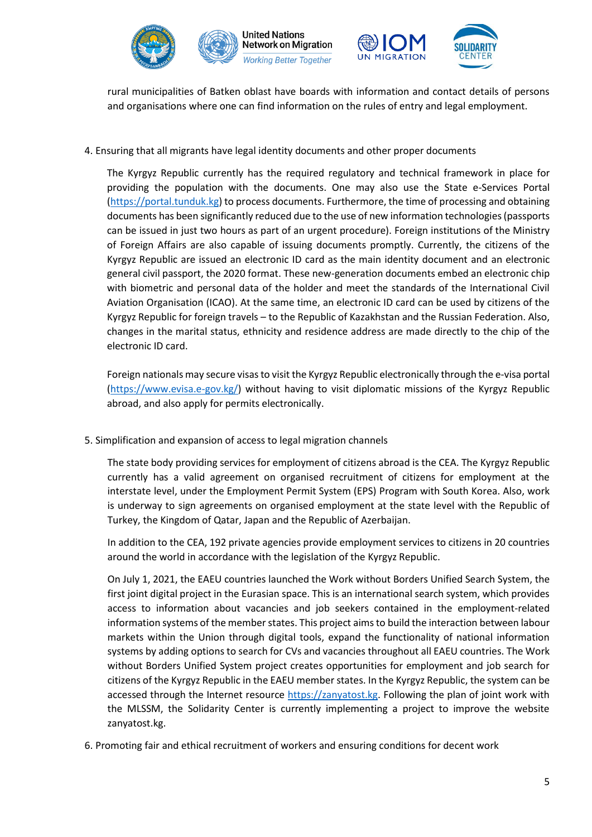



rural municipalities of Batken oblast have boards with information and contact details of persons and organisations where one can find information on the rules of entry and legal employment.

4. Ensuring that all migrants have legal identity documents and other proper documents

The Kyrgyz Republic currently has the required regulatory and technical framework in place for providing the population with the documents. One may also use the State e-Services Portal [\(https://portal.tunduk.kg\)](https://portal.tunduk.kg/) to process documents. Furthermore, the time of processing and obtaining documents has been significantly reduced due to the use of new information technologies (passports can be issued in just two hours as part of an urgent procedure). Foreign institutions of the Ministry of Foreign Affairs are also capable of issuing documents promptly. Currently, the citizens of the Kyrgyz Republic are issued an electronic ID card as the main identity document and an electronic general civil passport, the 2020 format. These new-generation documents embed an electronic chip with biometric and personal data of the holder and meet the standards of the International Civil Aviation Organisation (ICAO). At the same time, an electronic ID card can be used by citizens of the Kyrgyz Republic for foreign travels – to the Republic of Kazakhstan and the Russian Federation. Also, changes in the marital status, ethnicity and residence address are made directly to the chip of the electronic ID card.

Foreign nationals may secure visas to visit the Kyrgyz Republic electronically through the e-visa portal [\(https://www.evisa.e-gov.kg/\)](https://www.evisa.e-gov.kg/) without having to visit diplomatic missions of the Kyrgyz Republic abroad, and also apply for permits electronically.

5. Simplification and expansion of access to legal migration channels

The state body providing services for employment of citizens abroad is the CEA. The Kyrgyz Republic currently has a valid agreement on organised recruitment of citizens for employment at the interstate level, under the Employment Permit System (EPS) Program with South Korea. Also, work is underway to sign agreements on organised employment at the state level with the Republic of Turkey, the Kingdom of Qatar, Japan and the Republic of Azerbaijan.

In addition to the CEA, 192 private agencies provide employment services to citizens in 20 countries around the world in accordance with the legislation of the Kyrgyz Republic.

On July 1, 2021, the EAEU countries launched the Work without Borders Unified Search System, the first joint digital project in the Eurasian space. This is an international search system, which provides access to information about vacancies and job seekers contained in the employment-related information systems of the member states. This project aims to build the interaction between labour markets within the Union through digital tools, expand the functionality of national information systems by adding options to search for CVs and vacancies throughout all EAEU countries. The Work without Borders Unified System project creates opportunities for employment and job search for citizens of the Kyrgyz Republic in the EAEU member states. In the Kyrgyz Republic, the system can be accessed through the Internet resource [https://zanyatost.kg.](https://zanyatost.kg/) Following the plan of joint work with the MLSSM, the Solidarity Center is currently implementing a project to improve the website zanyatost.kg.

6. Promoting fair and ethical recruitment of workers and ensuring conditions for decent work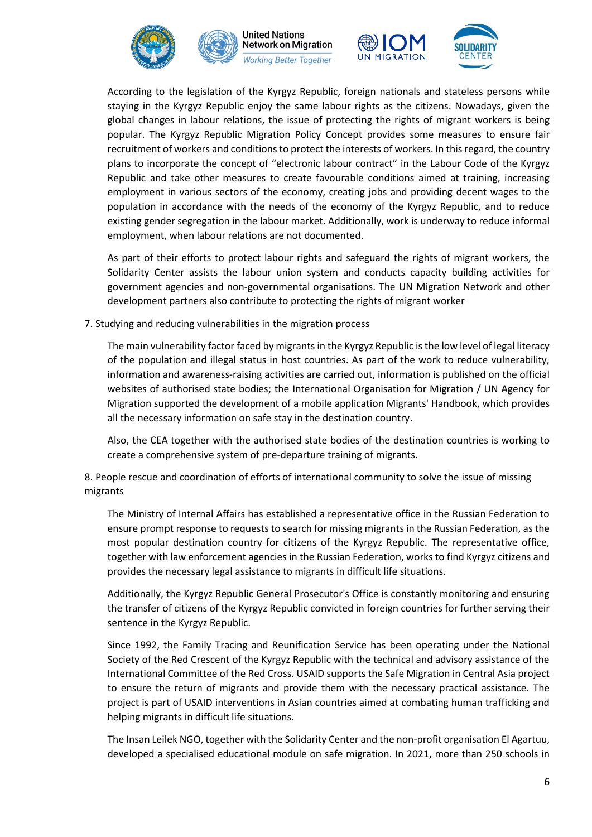





According to the legislation of the Kyrgyz Republic, foreign nationals and stateless persons while staying in the Kyrgyz Republic enjoy the same labour rights as the citizens. Nowadays, given the global changes in labour relations, the issue of protecting the rights of migrant workers is being popular. The Kyrgyz Republic Migration Policy Concept provides some measures to ensure fair recruitment of workers and conditions to protect the interests of workers. In this regard, the country plans to incorporate the concept of "electronic labour contract" in the Labour Code of the Kyrgyz Republic and take other measures to create favourable conditions aimed at training, increasing employment in various sectors of the economy, creating jobs and providing decent wages to the population in accordance with the needs of the economy of the Kyrgyz Republic, and to reduce existing gender segregation in the labour market. Additionally, work is underway to reduce informal employment, when labour relations are not documented.

As part of their efforts to protect labour rights and safeguard the rights of migrant workers, the Solidarity Center assists the labour union system and conducts capacity building activities for government agencies and non-governmental organisations. The UN Migration Network and other development partners also contribute to protecting the rights of migrant worker

7. Studying and reducing vulnerabilities in the migration process

The main vulnerability factor faced by migrants in the Kyrgyz Republic is the low level of legal literacy of the population and illegal status in host countries. As part of the work to reduce vulnerability, information and awareness-raising activities are carried out, information is published on the official websites of authorised state bodies; the International Organisation for Migration / UN Agency for Migration supported the development of a mobile application Migrants' Handbook, which provides all the necessary information on safe stay in the destination country.

Also, the CEA together with the authorised state bodies of the destination countries is working to create a comprehensive system of pre-departure training of migrants.

8. People rescue and coordination of efforts of international community to solve the issue of missing migrants

The Ministry of Internal Affairs has established a representative office in the Russian Federation to ensure prompt response to requests to search for missing migrants in the Russian Federation, as the most popular destination country for citizens of the Kyrgyz Republic. The representative office, together with law enforcement agencies in the Russian Federation, works to find Kyrgyz citizens and provides the necessary legal assistance to migrants in difficult life situations.

Additionally, the Kyrgyz Republic General Prosecutor's Office is constantly monitoring and ensuring the transfer of citizens of the Kyrgyz Republic convicted in foreign countries for further serving their sentence in the Kyrgyz Republic.

Since 1992, the Family Tracing and Reunification Service has been operating under the National Society of the Red Crescent of the Kyrgyz Republic with the technical and advisory assistance of the International Committee of the Red Cross. USAID supports the Safe Migration in Central Asia project to ensure the return of migrants and provide them with the necessary practical assistance. The project is part of USAID interventions in Asian countries aimed at combating human trafficking and helping migrants in difficult life situations.

The Insan Leilek NGO, together with the Solidarity Center and the non-profit organisation El Agartuu, developed a specialised educational module on safe migration. In 2021, more than 250 schools in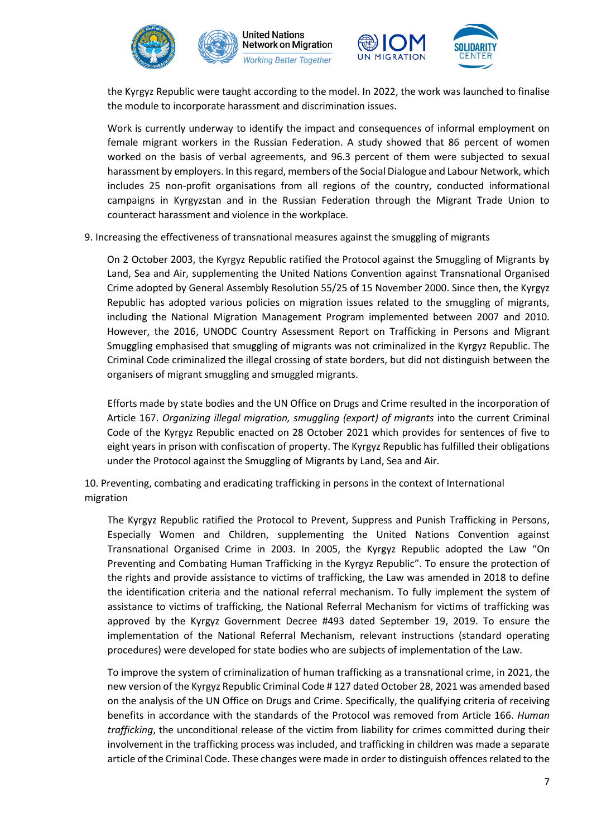



the Kyrgyz Republic were taught according to the model. In 2022, the work was launched to finalise the module to incorporate harassment and discrimination issues.

Work is currently underway to identify the impact and consequences of informal employment on female migrant workers in the Russian Federation. A study showed that 86 percent of women worked on the basis of verbal agreements, and 96.3 percent of them were subjected to sexual harassment by employers. In this regard, members of the Social Dialogue and Labour Network, which includes 25 non-profit organisations from all regions of the country, conducted informational campaigns in Kyrgyzstan and in the Russian Federation through the Migrant Trade Union to counteract harassment and violence in the workplace.

9. Increasing the effectiveness of transnational measures against the smuggling of migrants

On 2 October 2003, the Kyrgyz Republic ratified the Protocol against the Smuggling of Migrants by Land, Sea and Air, supplementing the United Nations Convention against Transnational Organised Crime adopted by General Assembly Resolution 55/25 of 15 November 2000. Since then, the Kyrgyz Republic has adopted various policies on migration issues related to the smuggling of migrants, including the National Migration Management Program implemented between 2007 and 2010. However, the 2016, UNODC Country Assessment Report on Trafficking in Persons and Migrant Smuggling emphasised that smuggling of migrants was not criminalized in the Kyrgyz Republic. The Criminal Code criminalized the illegal crossing of state borders, but did not distinguish between the organisers of migrant smuggling and smuggled migrants.

Efforts made by state bodies and the UN Office on Drugs and Crime resulted in the incorporation of Article 167. *Organizing illegal migration, smuggling (export) of migrants* into the current Criminal Code of the Kyrgyz Republic enacted on 28 October 2021 which provides for sentences of five to eight years in prison with confiscation of property. The Kyrgyz Republic has fulfilled their obligations under the Protocol against the Smuggling of Migrants by Land, Sea and Air.

10. Preventing, combating and eradicating trafficking in persons in the context of International migration

The Kyrgyz Republic ratified the Protocol to Prevent, Suppress and Punish Trafficking in Persons, Especially Women and Children, supplementing the United Nations Convention against Transnational Organised Crime in 2003. In 2005, the Kyrgyz Republic adopted the Law "On Preventing and Combating Human Trafficking in the Kyrgyz Republic". To ensure the protection of the rights and provide assistance to victims of trafficking, the Law was amended in 2018 to define the identification criteria and the national referral mechanism. To fully implement the system of assistance to victims of trafficking, the National Referral Mechanism for victims of trafficking was approved by the Kyrgyz Government Decree #493 dated September 19, 2019. To ensure the implementation of the National Referral Mechanism, relevant instructions (standard operating procedures) were developed for state bodies who are subjects of implementation of the Law.

To improve the system of criminalization of human trafficking as a transnational crime, in 2021, the new version of the Kyrgyz Republic Criminal Code # 127 dated October 28, 2021 was amended based on the analysis of the UN Office on Drugs and Crime. Specifically, the qualifying criteria of receiving benefits in accordance with the standards of the Protocol was removed from Article 166. *Human trafficking*, the unconditional release of the victim from liability for crimes committed during their involvement in the trafficking process was included, and trafficking in children was made a separate article of the Criminal Code. These changes were made in order to distinguish offences related to the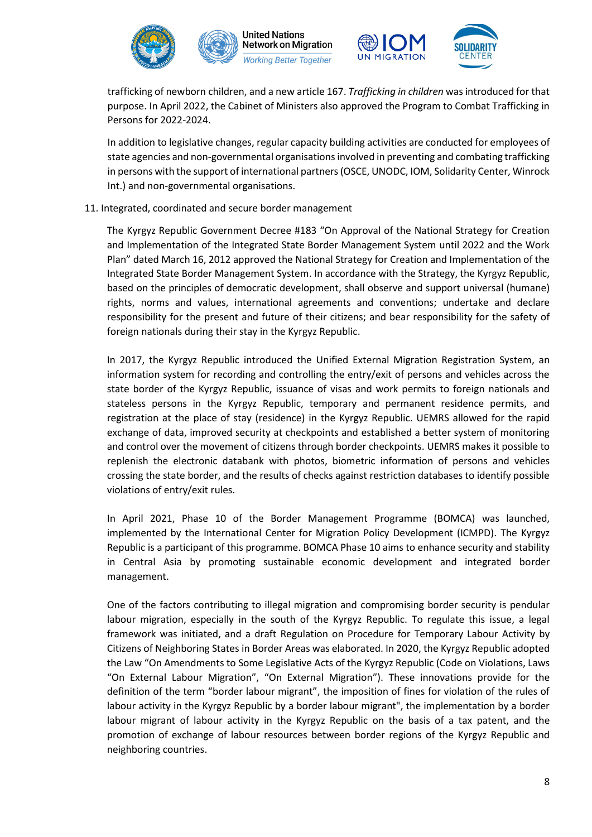



trafficking of newborn children, and a new article 167. *Trafficking in children* was introduced for that purpose. In April 2022, the Cabinet of Ministers also approved the Program to Combat Trafficking in Persons for 2022-2024.

In addition to legislative changes, regular capacity building activities are conducted for employees of state agencies and non-governmental organisations involved in preventing and combating trafficking in persons with the support of international partners (OSCE, UNODC, IOM, Solidarity Center, Winrock Int.) and non-governmental organisations.

### 11. Integrated, coordinated and secure border management

The Kyrgyz Republic Government Decree #183 "On Approval of the National Strategy for Creation and Implementation of the Integrated State Border Management System until 2022 and the Work Plan" dated March 16, 2012 approved the National Strategy for Creation and Implementation of the Integrated State Border Management System. In accordance with the Strategy, the Kyrgyz Republic, based on the principles of democratic development, shall observe and support universal (humane) rights, norms and values, international agreements and conventions; undertake and declare responsibility for the present and future of their citizens; and bear responsibility for the safety of foreign nationals during their stay in the Kyrgyz Republic.

In 2017, the Kyrgyz Republic introduced the Unified External Migration Registration System, an information system for recording and controlling the entry/exit of persons and vehicles across the state border of the Kyrgyz Republic, issuance of visas and work permits to foreign nationals and stateless persons in the Kyrgyz Republic, temporary and permanent residence permits, and registration at the place of stay (residence) in the Kyrgyz Republic. UEMRS allowed for the rapid exchange of data, improved security at checkpoints and established a better system of monitoring and control over the movement of citizens through border checkpoints. UEMRS makes it possible to replenish the electronic databank with photos, biometric information of persons and vehicles crossing the state border, and the results of checks against restriction databases to identify possible violations of entry/exit rules.

In April 2021, Phase 10 of the Border Management Programme (BOMCA) was launched, implemented by the International Center for Migration Policy Development (ICMPD). The Kyrgyz Republic is a participant of this programme. BOMCA Phase 10 aims to enhance security and stability in Central Asia by promoting sustainable economic development and integrated border management.

One of the factors contributing to illegal migration and compromising border security is pendular labour migration, especially in the south of the Kyrgyz Republic. To regulate this issue, a legal framework was initiated, and a draft Regulation on Procedure for Temporary Labour Activity by Citizens of Neighboring States in Border Areas was elaborated. In 2020, the Kyrgyz Republic adopted the Law "On Amendments to Some Legislative Acts of the Kyrgyz Republic (Code on Violations, Laws "On External Labour Migration", "On External Migration"). These innovations provide for the definition of the term "border labour migrant", the imposition of fines for violation of the rules of labour activity in the Kyrgyz Republic by a border labour migrant", the implementation by a border labour migrant of labour activity in the Kyrgyz Republic on the basis of a tax patent, and the promotion of exchange of labour resources between border regions of the Kyrgyz Republic and neighboring countries.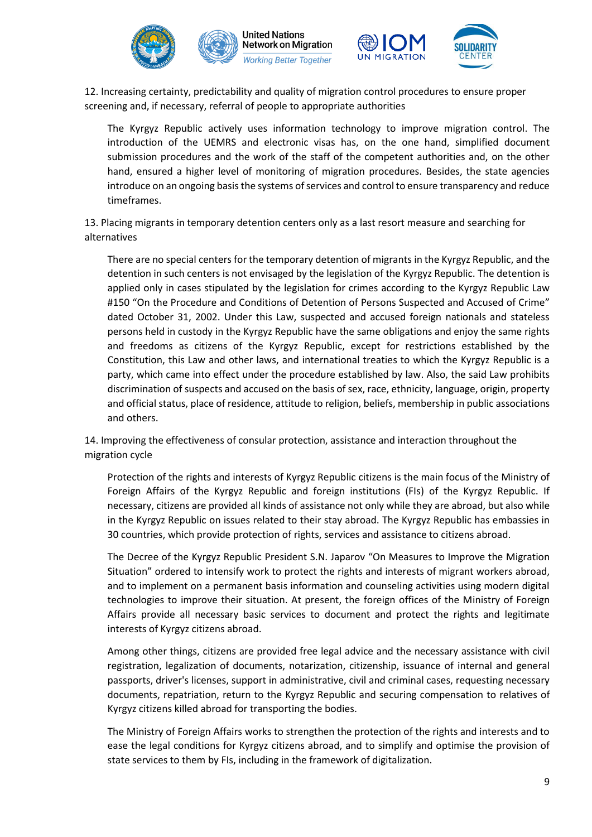



12. Increasing certainty, predictability and quality of migration control procedures to ensure proper screening and, if necessary, referral of people to appropriate authorities

The Kyrgyz Republic actively uses information technology to improve migration control. The introduction of the UEMRS and electronic visas has, on the one hand, simplified document submission procedures and the work of the staff of the competent authorities and, on the other hand, ensured a higher level of monitoring of migration procedures. Besides, the state agencies introduce on an ongoing basis the systems of services and control to ensure transparency and reduce timeframes.

13. Placing migrants in temporary detention centers only as a last resort measure and searching for alternatives

There are no special centers for the temporary detention of migrants in the Kyrgyz Republic, and the detention in such centers is not envisaged by the legislation of the Kyrgyz Republic. The detention is applied only in cases stipulated by the legislation for crimes according to the Kyrgyz Republic Law #150 "On the Procedure and Conditions of Detention of Persons Suspected and Accused of Crime" dated October 31, 2002. Under this Law, suspected and accused foreign nationals and stateless persons held in custody in the Kyrgyz Republic have the same obligations and enjoy the same rights and freedoms as citizens of the Kyrgyz Republic, except for restrictions established by the Constitution, this Law and other laws, and international treaties to which the Kyrgyz Republic is a party, which came into effect under the procedure established by law. Also, the said Law prohibits discrimination of suspects and accused on the basis of sex, race, ethnicity, language, origin, property and official status, place of residence, attitude to religion, beliefs, membership in public associations and others.

14. Improving the effectiveness of consular protection, assistance and interaction throughout the migration cycle

Protection of the rights and interests of Kyrgyz Republic citizens is the main focus of the Ministry of Foreign Affairs of the Kyrgyz Republic and foreign institutions (FIs) of the Kyrgyz Republic. If necessary, citizens are provided all kinds of assistance not only while they are abroad, but also while in the Kyrgyz Republic on issues related to their stay abroad. The Kyrgyz Republic has embassies in 30 countries, which provide protection of rights, services and assistance to citizens abroad.

The Decree of the Kyrgyz Republic President S.N. Japarov "On Measures to Improve the Migration Situation" ordered to intensify work to protect the rights and interests of migrant workers abroad, and to implement on a permanent basis information and counseling activities using modern digital technologies to improve their situation. At present, the foreign offices of the Ministry of Foreign Affairs provide all necessary basic services to document and protect the rights and legitimate interests of Kyrgyz citizens abroad.

Among other things, citizens are provided free legal advice and the necessary assistance with civil registration, legalization of documents, notarization, citizenship, issuance of internal and general passports, driver's licenses, support in administrative, civil and criminal cases, requesting necessary documents, repatriation, return to the Kyrgyz Republic and securing compensation to relatives of Kyrgyz citizens killed abroad for transporting the bodies.

The Ministry of Foreign Affairs works to strengthen the protection of the rights and interests and to ease the legal conditions for Kyrgyz citizens abroad, and to simplify and optimise the provision of state services to them by FIs, including in the framework of digitalization.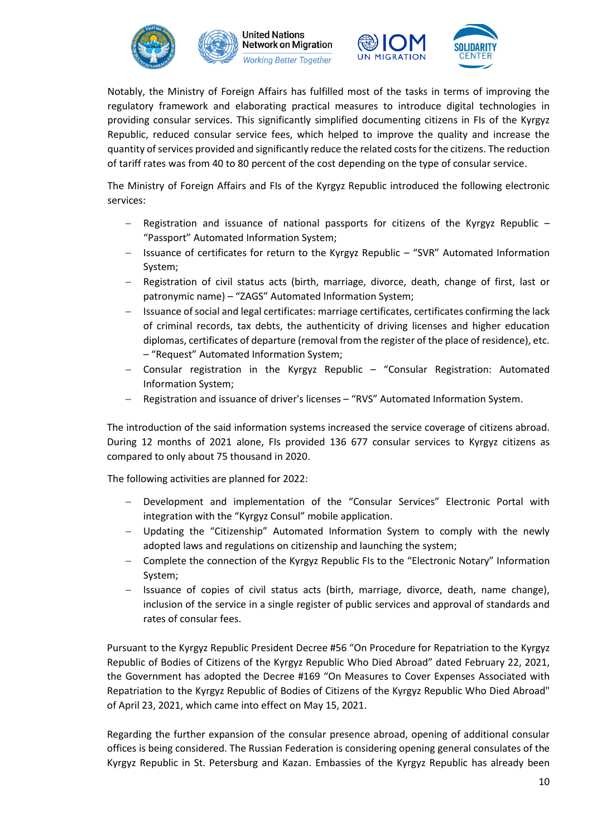





Notably, the Ministry of Foreign Affairs has fulfilled most of the tasks in terms of improving the regulatory framework and elaborating practical measures to introduce digital technologies in providing consular services. This significantly simplified documenting citizens in FIs of the Kyrgyz Republic, reduced consular service fees, which helped to improve the quality and increase the quantity of services provided and significantly reduce the related costs for the citizens. The reduction of tariff rates was from 40 to 80 percent of the cost depending on the type of consular service.

The Ministry of Foreign Affairs and FIs of the Kyrgyz Republic introduced the following electronic services:

- − Registration and issuance of national passports for citizens of the Kyrgyz Republic "Passport" Automated Information System;
- − Issuance of certificates for return to the Kyrgyz Republic "SVR" Automated Information System;
- − Registration of civil status acts (birth, marriage, divorce, death, change of first, last or patronymic name) – "ZAGS" Automated Information System;
- − Issuance of social and legal certificates: marriage certificates, certificates confirming the lack of criminal records, tax debts, the authenticity of driving licenses and higher education diplomas, certificates of departure (removal from the register of the place of residence), etc. – "Request" Automated Information System;
- − Consular registration in the Kyrgyz Republic "Consular Registration: Automated Information System;
- Registration and issuance of driver's licenses "RVS" Automated Information System.

The introduction of the said information systems increased the service coverage of citizens abroad. During 12 months of 2021 alone, FIs provided 136 677 consular services to Kyrgyz citizens as compared to only about 75 thousand in 2020.

The following activities are planned for 2022:

- Development and implementation of the "Consular Services" Electronic Portal with integration with the "Kyrgyz Consul" mobile application.
- − Updating the "Citizenship" Automated Information System to comply with the newly adopted laws and regulations on citizenship and launching the system;
- − Complete the connection of the Kyrgyz Republic FIs to the "Electronic Notary" Information System;
- − Issuance of copies of civil status acts (birth, marriage, divorce, death, name change), inclusion of the service in a single register of public services and approval of standards and rates of consular fees.

Pursuant to the Kyrgyz Republic President Decree #56 "On Procedure for Repatriation to the Kyrgyz Republic of Bodies of Citizens of the Kyrgyz Republic Who Died Abroad" dated February 22, 2021, the Government has adopted the Decree #169 "On Measures to Cover Expenses Associated with Repatriation to the Kyrgyz Republic of Bodies of Citizens of the Kyrgyz Republic Who Died Abroad" of April 23, 2021, which came into effect on May 15, 2021.

Regarding the further expansion of the consular presence abroad, opening of additional consular offices is being considered. The Russian Federation is considering opening general consulates of the Kyrgyz Republic in St. Petersburg and Kazan. Embassies of the Kyrgyz Republic has already been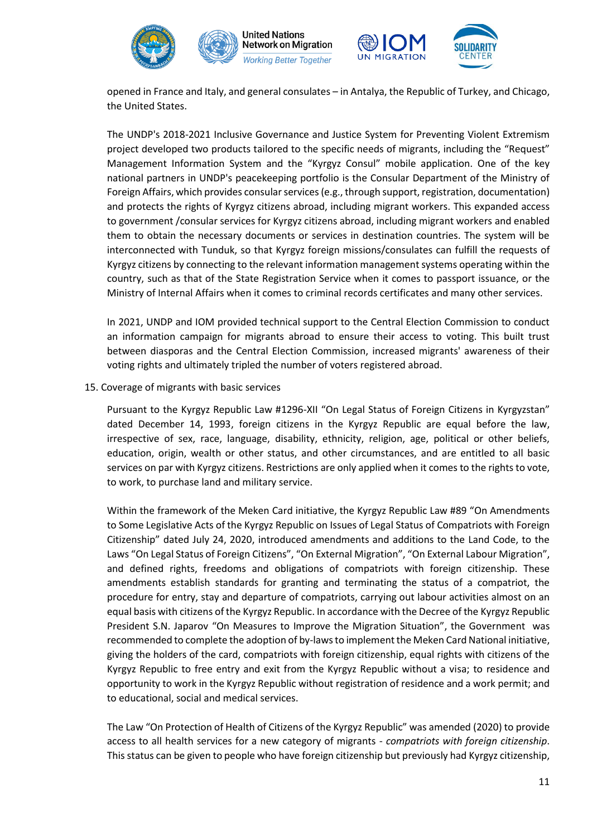





opened in France and Italy, and general consulates – in Antalya, the Republic of Turkey, and Chicago, the United States.

The UNDP's 2018-2021 Inclusive Governance and Justice System for Preventing Violent Extremism project developed two products tailored to the specific needs of migrants, including the "Request" Management Information System and the "Kyrgyz Consul" mobile application. One of the key national partners in UNDP's peacekeeping portfolio is the Consular Department of the Ministry of Foreign Affairs, which provides consular services (e.g., through support, registration, documentation) and protects the rights of Kyrgyz citizens abroad, including migrant workers. This expanded access to government /consular services for Kyrgyz citizens abroad, including migrant workers and enabled them to obtain the necessary documents or services in destination countries. The system will be interconnected with Tunduk, so that Kyrgyz foreign missions/consulates can fulfill the requests of Kyrgyz citizens by connecting to the relevant information management systems operating within the country, such as that of the State Registration Service when it comes to passport issuance, or the Ministry of Internal Affairs when it comes to criminal records certificates and many other services.

In 2021, UNDP and IOM provided technical support to the Central Election Commission to conduct an information campaign for migrants abroad to ensure their access to voting. This built trust between diasporas and the Central Election Commission, increased migrants' awareness of their voting rights and ultimately tripled the number of voters registered abroad.

15. Coverage of migrants with basic services

Pursuant to the Kyrgyz Republic Law #1296-XII "On Legal Status of Foreign Citizens in Kyrgyzstan" dated December 14, 1993, foreign citizens in the Kyrgyz Republic are equal before the law, irrespective of sex, race, language, disability, ethnicity, religion, age, political or other beliefs, education, origin, wealth or other status, and other circumstances, and are entitled to all basic services on par with Kyrgyz citizens. Restrictions are only applied when it comes to the rights to vote, to work, to purchase land and military service.

Within the framework of the Meken Card initiative, the Kyrgyz Republic Law #89 "On Amendments to Some Legislative Acts of the Kyrgyz Republic on Issues of Legal Status of Compatriots with Foreign Citizenship" dated July 24, 2020, introduced amendments and additions to the Land Code, to the Laws "On Legal Status of Foreign Citizens", "On External Migration", "On External Labour Migration", and defined rights, freedoms and obligations of compatriots with foreign citizenship. These amendments establish standards for granting and terminating the status of a compatriot, the procedure for entry, stay and departure of compatriots, carrying out labour activities almost on an equal basis with citizens of the Kyrgyz Republic. In accordance with the Decree of the Kyrgyz Republic President S.N. Japarov "On Measures to Improve the Migration Situation", the Government was recommended to complete the adoption of by-laws to implement the Meken Card National initiative, giving the holders of the card, compatriots with foreign citizenship, equal rights with citizens of the Kyrgyz Republic to free entry and exit from the Kyrgyz Republic without a visa; to residence and opportunity to work in the Kyrgyz Republic without registration of residence and a work permit; and to educational, social and medical services.

The Law "On Protection of Health of Citizens of the Kyrgyz Republic" was amended (2020) to provide access to all health services for a new category of migrants - *compatriots with foreign citizenship*. This status can be given to people who have foreign citizenship but previously had Kyrgyz citizenship,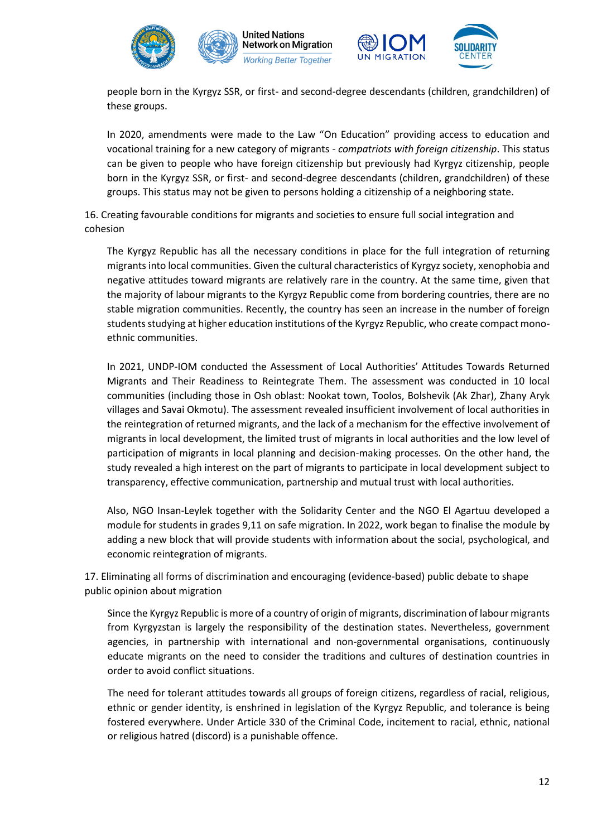





In 2020, amendments were made to the Law "On Education" providing access to education and vocational training for a new category of migrants - *compatriots with foreign citizenship*. This status can be given to people who have foreign citizenship but previously had Kyrgyz citizenship, people born in the Kyrgyz SSR, or first- and second-degree descendants (children, grandchildren) of these groups. This status may not be given to persons holding a citizenship of a neighboring state.

16. Creating favourable conditions for migrants and societies to ensure full social integration and cohesion

The Kyrgyz Republic has all the necessary conditions in place for the full integration of returning migrants into local communities. Given the cultural characteristics of Kyrgyz society, xenophobia and negative attitudes toward migrants are relatively rare in the country. At the same time, given that the majority of labour migrants to the Kyrgyz Republic come from bordering countries, there are no stable migration communities. Recently, the country has seen an increase in the number of foreign students studying at higher education institutions of the Kyrgyz Republic, who create compact monoethnic communities.

In 2021, UNDP-IOM conducted the Assessment of Local Authorities' Attitudes Towards Returned Migrants and Their Readiness to Reintegrate Them. The assessment was conducted in 10 local communities (including those in Osh oblast: Nookat town, Toolos, Bolshevik (Ak Zhar), Zhany Aryk villages and Savai Okmotu). The assessment revealed insufficient involvement of local authorities in the reintegration of returned migrants, and the lack of a mechanism for the effective involvement of migrants in local development, the limited trust of migrants in local authorities and the low level of participation of migrants in local planning and decision-making processes. On the other hand, the study revealed a high interest on the part of migrants to participate in local development subject to transparency, effective communication, partnership and mutual trust with local authorities.

Also, NGO Insan-Leylek together with the Solidarity Center and the NGO El Agartuu developed a module for students in grades 9,11 on safe migration. In 2022, work began to finalise the module by adding a new block that will provide students with information about the social, psychological, and economic reintegration of migrants.

17. Eliminating all forms of discrimination and encouraging (evidence-based) public debate to shape public opinion about migration

Since the Kyrgyz Republic is more of a country of origin of migrants, discrimination of labour migrants from Kyrgyzstan is largely the responsibility of the destination states. Nevertheless, government agencies, in partnership with international and non-governmental organisations, continuously educate migrants on the need to consider the traditions and cultures of destination countries in order to avoid conflict situations.

The need for tolerant attitudes towards all groups of foreign citizens, regardless of racial, religious, ethnic or gender identity, is enshrined in legislation of the Kyrgyz Republic, and tolerance is being fostered everywhere. Under Article 330 of the Criminal Code, incitement to racial, ethnic, national or religious hatred (discord) is a punishable offence.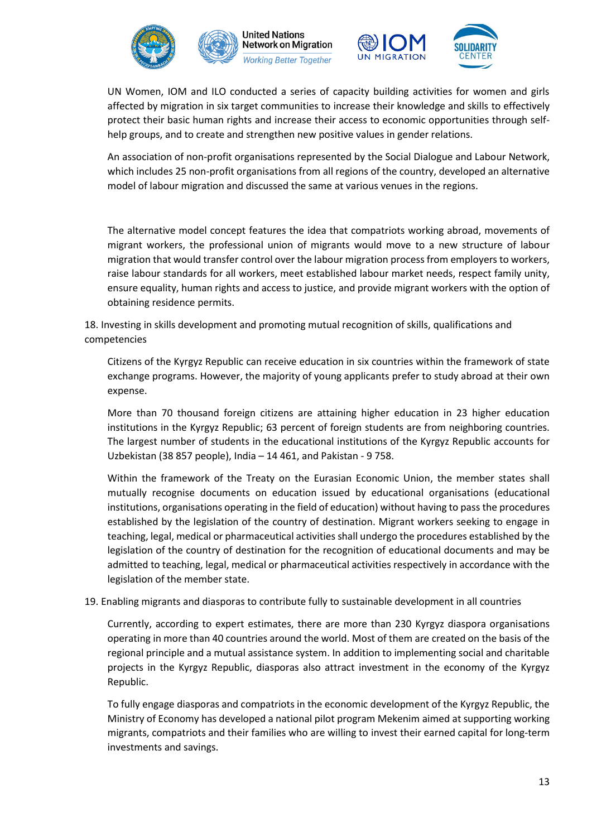



UN Women, IOM and ILO conducted a series of capacity building activities for women and girls affected by migration in six target communities to increase their knowledge and skills to effectively protect their basic human rights and increase their access to economic opportunities through selfhelp groups, and to create and strengthen new positive values in gender relations.

An association of non-profit organisations represented by the Social Dialogue and Labour Network, which includes 25 non-profit organisations from all regions of the country, developed an alternative model of labour migration and discussed the same at various venues in the regions.

The alternative model concept features the idea that compatriots working abroad, movements of migrant workers, the professional union of migrants would move to a new structure of labour migration that would transfer control over the labour migration process from employers to workers, raise labour standards for all workers, meet established labour market needs, respect family unity, ensure equality, human rights and access to justice, and provide migrant workers with the option of obtaining residence permits.

18. Investing in skills development and promoting mutual recognition of skills, qualifications and competencies

Citizens of the Kyrgyz Republic can receive education in six countries within the framework of state exchange programs. However, the majority of young applicants prefer to study abroad at their own expense.

More than 70 thousand foreign citizens are attaining higher education in 23 higher education institutions in the Kyrgyz Republic; 63 percent of foreign students are from neighboring countries. The largest number of students in the educational institutions of the Kyrgyz Republic accounts for Uzbekistan (38 857 people), India – 14 461, and Pakistan - 9 758.

Within the framework of the Treaty on the Eurasian Economic Union, the member states shall mutually recognise documents on education issued by educational organisations (educational institutions, organisations operating in the field of education) without having to pass the procedures established by the legislation of the country of destination. Migrant workers seeking to engage in teaching, legal, medical or pharmaceutical activities shall undergo the procedures established by the legislation of the country of destination for the recognition of educational documents and may be admitted to teaching, legal, medical or pharmaceutical activities respectively in accordance with the legislation of the member state.

## 19. Enabling migrants and diasporas to contribute fully to sustainable development in all countries

Currently, according to expert estimates, there are more than 230 Kyrgyz diaspora organisations operating in more than 40 countries around the world. Most of them are created on the basis of the regional principle and a mutual assistance system. In addition to implementing social and charitable projects in the Kyrgyz Republic, diasporas also attract investment in the economy of the Kyrgyz Republic.

To fully engage diasporas and compatriots in the economic development of the Kyrgyz Republic, the Ministry of Economy has developed a national pilot program Mekenim aimed at supporting working migrants, compatriots and their families who are willing to invest their earned capital for long-term investments and savings.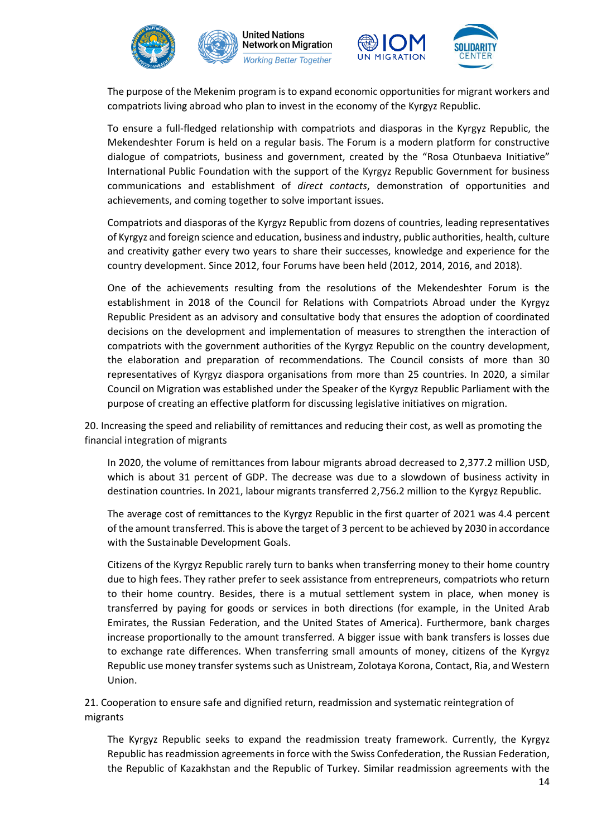



The purpose of the Mekenim program is to expand economic opportunities for migrant workers and compatriots living abroad who plan to invest in the economy of the Kyrgyz Republic.

To ensure a full-fledged relationship with compatriots and diasporas in the Kyrgyz Republic, the Mekendeshter Forum is held on a regular basis. The Forum is a modern platform for constructive dialogue of compatriots, business and government, created by the "Rosa Otunbaeva Initiative" International Public Foundation with the support of the Kyrgyz Republic Government for business communications and establishment of *direct contacts*, demonstration of opportunities and achievements, and coming together to solve important issues.

Compatriots and diasporas of the Kyrgyz Republic from dozens of countries, leading representatives of Kyrgyz and foreign science and education, business and industry, public authorities, health, culture and creativity gather every two years to share their successes, knowledge and experience for the country development. Since 2012, four Forums have been held (2012, 2014, 2016, and 2018).

One of the achievements resulting from the resolutions of the Mekendeshter Forum is the establishment in 2018 of the Council for Relations with Compatriots Abroad under the Kyrgyz Republic President as an advisory and consultative body that ensures the adoption of coordinated decisions on the development and implementation of measures to strengthen the interaction of compatriots with the government authorities of the Kyrgyz Republic on the country development, the elaboration and preparation of recommendations. The Council consists of more than 30 representatives of Kyrgyz diaspora organisations from more than 25 countries. In 2020, a similar Council on Migration was established under the Speaker of the Kyrgyz Republic Parliament with the purpose of creating an effective platform for discussing legislative initiatives on migration.

20. Increasing the speed and reliability of remittances and reducing their cost, as well as promoting the financial integration of migrants

In 2020, the volume of remittances from labour migrants abroad decreased to 2,377.2 million USD, which is about 31 percent of GDP. The decrease was due to a slowdown of business activity in destination countries. In 2021, labour migrants transferred 2,756.2 million to the Kyrgyz Republic.

The average cost of remittances to the Kyrgyz Republic in the first quarter of 2021 was 4.4 percent of the amount transferred. This is above the target of 3 percent to be achieved by 2030 in accordance with the Sustainable Development Goals.

Citizens of the Kyrgyz Republic rarely turn to banks when transferring money to their home country due to high fees. They rather prefer to seek assistance from entrepreneurs, compatriots who return to their home country. Besides, there is a mutual settlement system in place, when money is transferred by paying for goods or services in both directions (for example, in the United Arab Emirates, the Russian Federation, and the United States of America). Furthermore, bank charges increase proportionally to the amount transferred. A bigger issue with bank transfers is losses due to exchange rate differences. When transferring small amounts of money, citizens of the Kyrgyz Republic use money transfer systems such as Unistream, Zolotaya Korona, Contact, Ria, and Western Union.

21. Cooperation to ensure safe and dignified return, readmission and systematic reintegration of migrants

The Kyrgyz Republic seeks to expand the readmission treaty framework. Currently, the Kyrgyz Republic has readmission agreements in force with the Swiss Confederation, the Russian Federation, the Republic of Kazakhstan and the Republic of Turkey. Similar readmission agreements with the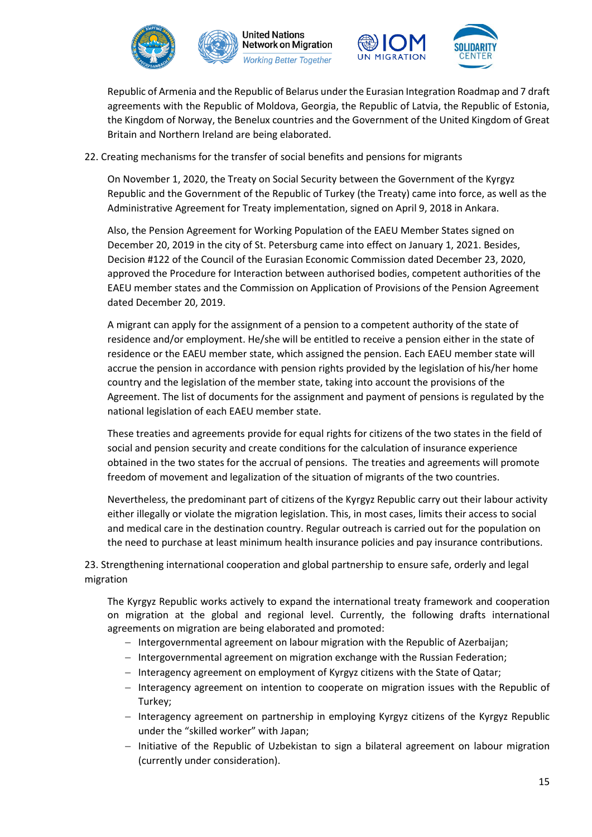



Republic of Armenia and the Republic of Belarus under the Eurasian Integration Roadmap and 7 draft agreements with the Republic of Moldova, Georgia, the Republic of Latvia, the Republic of Estonia, the Kingdom of Norway, the Benelux countries and the Government of the United Kingdom of Great Britain and Northern Ireland are being elaborated.

## 22. Creating mechanisms for the transfer of social benefits and pensions for migrants

On November 1, 2020, the Treaty on Social Security between the Government of the Kyrgyz Republic and the Government of the Republic of Turkey (the Treaty) came into force, as well as the Administrative Agreement for Treaty implementation, signed on April 9, 2018 in Ankara.

Also, the Pension Agreement for Working Population of the EAEU Member States signed on December 20, 2019 in the city of St. Petersburg came into effect on January 1, 2021. Besides, Decision #122 of the Council of the Eurasian Economic Commission dated December 23, 2020, approved the Procedure for Interaction between authorised bodies, competent authorities of the EAEU member states and the Commission on Application of Provisions of the Pension Agreement dated December 20, 2019.

A migrant can apply for the assignment of a pension to a competent authority of the state of residence and/or employment. He/she will be entitled to receive a pension either in the state of residence or the EAEU member state, which assigned the pension. Each EAEU member state will accrue the pension in accordance with pension rights provided by the legislation of his/her home country and the legislation of the member state, taking into account the provisions of the Agreement. The list of documents for the assignment and payment of pensions is regulated by the national legislation of each EAEU member state.

These treaties and agreements provide for equal rights for citizens of the two states in the field of social and pension security and create conditions for the calculation of insurance experience obtained in the two states for the accrual of pensions. The treaties and agreements will promote freedom of movement and legalization of the situation of migrants of the two countries.

Nevertheless, the predominant part of citizens of the Kyrgyz Republic carry out their labour activity either illegally or violate the migration legislation. This, in most cases, limits their access to social and medical care in the destination country. Regular outreach is carried out for the population on the need to purchase at least minimum health insurance policies and pay insurance contributions.

23. Strengthening international cooperation and global partnership to ensure safe, orderly and legal migration

The Kyrgyz Republic works actively to expand the international treaty framework and cooperation on migration at the global and regional level. Currently, the following drafts international agreements on migration are being elaborated and promoted:

- − Intergovernmental agreement on labour migration with the Republic of Azerbaijan;
- − Intergovernmental agreement on migration exchange with the Russian Federation;
- − Interagency agreement on employment of Kyrgyz citizens with the State of Qatar;
- − Interagency agreement on intention to cooperate on migration issues with the Republic of Turkey;
- − Interagency agreement on partnership in employing Kyrgyz citizens of the Kyrgyz Republic under the "skilled worker" with Japan;
- − Initiative of the Republic of Uzbekistan to sign a bilateral agreement on labour migration (currently under consideration).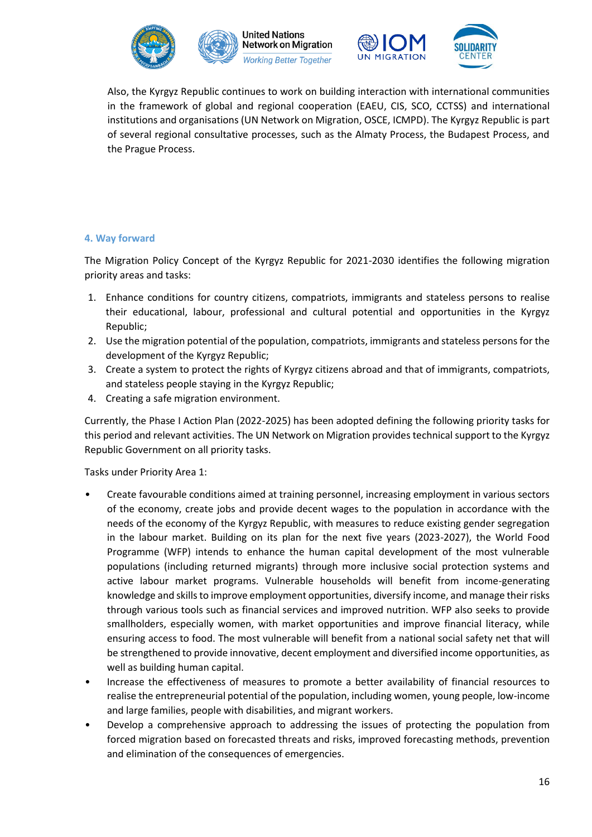





Also, the Kyrgyz Republic continues to work on building interaction with international communities in the framework of global and regional cooperation (EAEU, CIS, SCO, CCTSS) and international institutions and organisations (UN Network on Migration, OSCE, ICMPD). The Kyrgyz Republic is part of several regional consultative processes, such as the Almaty Process, the Budapest Process, and the Prague Process.

## **4. Way forward**

The Migration Policy Concept of the Kyrgyz Republic for 2021-2030 identifies the following migration priority areas and tasks:

- 1. Enhance conditions for country citizens, compatriots, immigrants and stateless persons to realise their educational, labour, professional and cultural potential and opportunities in the Kyrgyz Republic;
- 2. Use the migration potential of the population, compatriots, immigrants and stateless persons for the development of the Kyrgyz Republic;
- 3. Create a system to protect the rights of Kyrgyz citizens abroad and that of immigrants, compatriots, and stateless people staying in the Kyrgyz Republic;
- 4. Creating a safe migration environment.

Currently, the Phase I Action Plan (2022-2025) has been adopted defining the following priority tasks for this period and relevant activities. The UN Network on Migration provides technical support to the Kyrgyz Republic Government on all priority tasks.

Tasks under Priority Area 1:

- Create favourable conditions aimed at training personnel, increasing employment in various sectors of the economy, create jobs and provide decent wages to the population in accordance with the needs of the economy of the Kyrgyz Republic, with measures to reduce existing gender segregation in the labour market. Building on its plan for the next five years (2023-2027), the World Food Programme (WFP) intends to enhance the human capital development of the most vulnerable populations (including returned migrants) through more inclusive social protection systems and active labour market programs. Vulnerable households will benefit from income-generating knowledge and skills to improve employment opportunities, diversify income, and manage their risks through various tools such as financial services and improved nutrition. WFP also seeks to provide smallholders, especially women, with market opportunities and improve financial literacy, while ensuring access to food. The most vulnerable will benefit from a national social safety net that will be strengthened to provide innovative, decent employment and diversified income opportunities, as well as building human capital.
- Increase the effectiveness of measures to promote a better availability of financial resources to realise the entrepreneurial potential of the population, including women, young people, low-income and large families, people with disabilities, and migrant workers.
- Develop a comprehensive approach to addressing the issues of protecting the population from forced migration based on forecasted threats and risks, improved forecasting methods, prevention and elimination of the consequences of emergencies.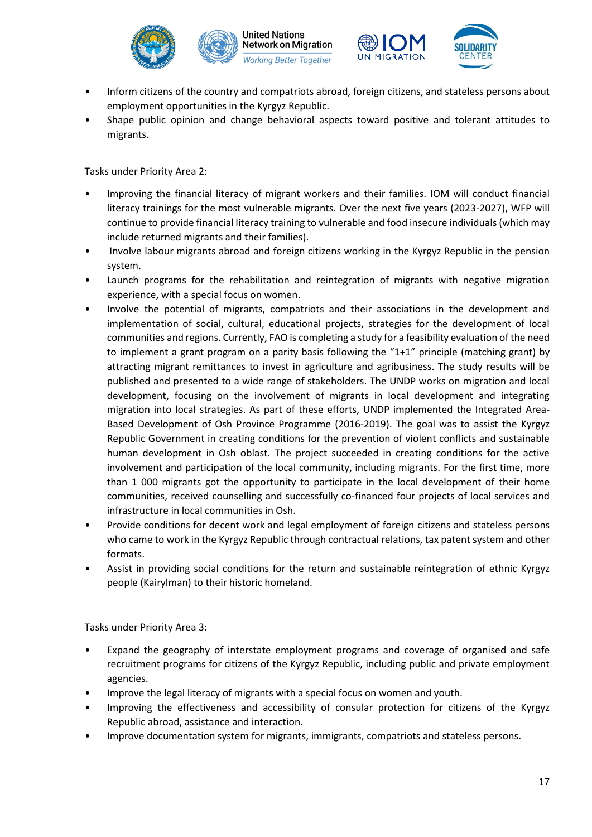



- Inform citizens of the country and compatriots abroad, foreign citizens, and stateless persons about employment opportunities in the Kyrgyz Republic.
- Shape public opinion and change behavioral aspects toward positive and tolerant attitudes to migrants.

Tasks under Priority Area 2:

- Improving the financial literacy of migrant workers and their families. IOM will conduct financial literacy trainings for the most vulnerable migrants. Over the next five years (2023-2027), WFP will continue to provide financial literacy training to vulnerable and food insecure individuals (which may include returned migrants and their families).
- Involve labour migrants abroad and foreign citizens working in the Kyrgyz Republic in the pension system.
- Launch programs for the rehabilitation and reintegration of migrants with negative migration experience, with a special focus on women.
- Involve the potential of migrants, compatriots and their associations in the development and implementation of social, cultural, educational projects, strategies for the development of local communities and regions. Currently, FAO is completing a study for a feasibility evaluation of the need to implement a grant program on a parity basis following the "1+1" principle (matching grant) by attracting migrant remittances to invest in agriculture and agribusiness. The study results will be published and presented to a wide range of stakeholders. The UNDP works on migration and local development, focusing on the involvement of migrants in local development and integrating migration into local strategies. As part of these efforts, UNDP implemented the Integrated Area-Based Development of Osh Province Programme (2016-2019). The goal was to assist the Kyrgyz Republic Government in creating conditions for the prevention of violent conflicts and sustainable human development in Osh oblast. The project succeeded in creating conditions for the active involvement and participation of the local community, including migrants. For the first time, more than 1 000 migrants got the opportunity to participate in the local development of their home communities, received counselling and successfully co-financed four projects of local services and infrastructure in local communities in Osh.
- Provide conditions for decent work and legal employment of foreign citizens and stateless persons who came to work in the Kyrgyz Republic through contractual relations, tax patent system and other formats.
- Assist in providing social conditions for the return and sustainable reintegration of ethnic Kyrgyz people (Kairylman) to their historic homeland.

Tasks under Priority Area 3:

- Expand the geography of interstate employment programs and coverage of organised and safe recruitment programs for citizens of the Kyrgyz Republic, including public and private employment agencies.
- Improve the legal literacy of migrants with a special focus on women and youth.
- Improving the effectiveness and accessibility of consular protection for citizens of the Kyrgyz Republic abroad, assistance and interaction.
- Improve documentation system for migrants, immigrants, compatriots and stateless persons.